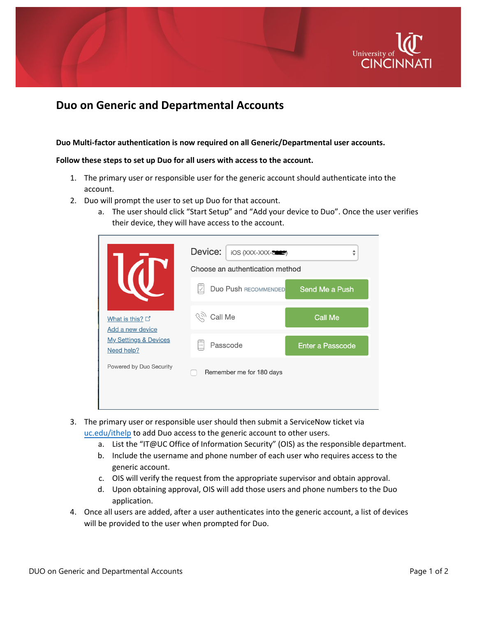

## **Duo on Generic and Departmental Accounts**

## **Duo Multi-factor authentication is now required on all Generic/Departmental user accounts.**

## **Follow these steps to set up Duo for all users with access to the account.**

- 1. The primary user or responsible user for the generic account should authenticate into the account.
- 2. Duo will prompt the user to set up Duo for that account.
	- a. The user should click "Start Setup" and "Add your device to Duo". Once the user verifies their device, they will have access to the account.

|                                                | Device:<br>iOS (XXX-XXX-8029)<br>Choose an authentication method | ♦                |
|------------------------------------------------|------------------------------------------------------------------|------------------|
|                                                | <b>Duo Push RECOMMENDED</b>                                      | Send Me a Push   |
| What is this? $\square$<br>Add a new device    | Call Me                                                          | <b>Call Me</b>   |
| <b>My Settings &amp; Devices</b><br>Need help? | Passcode<br>$\cdots$                                             | Enter a Passcode |
| Powered by Duo Security                        | Remember me for 180 days                                         |                  |
|                                                |                                                                  |                  |

- 3. The primary user or responsible user should then submit a ServiceNow ticket via [uc.edu/ithelp](http://uc.edu/ithelp) to add Duo access to the generic account to other users.
	- a. List the "IT@UC Office of Information Security" (OIS) as the responsible department.
	- b. Include the username and phone number of each user who requires access to the generic account.
	- c. OIS will verify the request from the appropriate supervisor and obtain approval.
	- d. Upon obtaining approval, OIS will add those users and phone numbers to the Duo application.
- 4. Once all users are added, after a user authenticates into the generic account, a list of devices will be provided to the user when prompted for Duo.